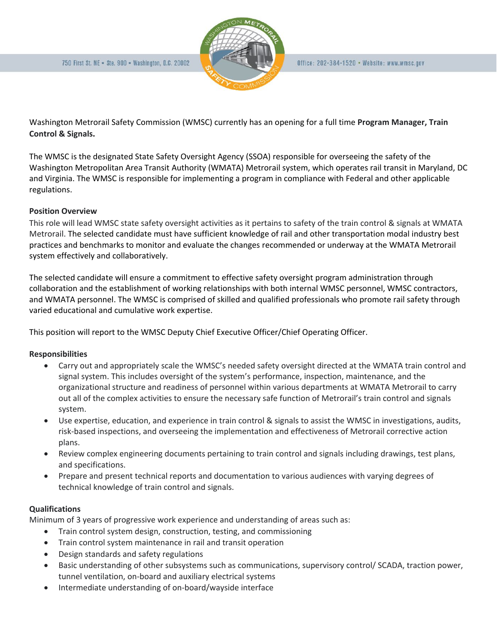

Washington Metrorail Safety Commission (WMSC) currently has an opening for a full time **Program Manager, Train Control & Signals.** 

The WMSC is the designated State Safety Oversight Agency (SSOA) responsible for overseeing the safety of the Washington Metropolitan Area Transit Authority (WMATA) Metrorail system, which operates rail transit in Maryland, DC and Virginia. The WMSC is responsible for implementing a program in compliance with Federal and other applicable regulations.

### **Position Overview**

This role will lead WMSC state safety oversight activities as it pertains to safety of the train control & signals at WMATA Metrorail. The selected candidate must have sufficient knowledge of rail and other transportation modal industry best practices and benchmarks to monitor and evaluate the changes recommended or underway at the WMATA Metrorail system effectively and collaboratively.

The selected candidate will ensure a commitment to effective safety oversight program administration through collaboration and the establishment of working relationships with both internal WMSC personnel, WMSC contractors, and WMATA personnel. The WMSC is comprised of skilled and qualified professionals who promote rail safety through varied educational and cumulative work expertise.

This position will report to the WMSC Deputy Chief Executive Officer/Chief Operating Officer.

# **Responsibilities**

- Carry out and appropriately scale the WMSC's needed safety oversight directed at the WMATA train control and signal system. This includes oversight of the system's performance, inspection, maintenance, and the organizational structure and readiness of personnel within various departments at WMATA Metrorail to carry out all of the complex activities to ensure the necessary safe function of Metrorail's train control and signals system.
- Use expertise, education, and experience in train control & signals to assist the WMSC in investigations, audits, risk-based inspections, and overseeing the implementation and effectiveness of Metrorail corrective action plans.
- Review complex engineering documents pertaining to train control and signals including drawings, test plans, and specifications.
- Prepare and present technical reports and documentation to various audiences with varying degrees of technical knowledge of train control and signals.

#### **Qualifications**

Minimum of 3 years of progressive work experience and understanding of areas such as:

- Train control system design, construction, testing, and commissioning
- Train control system maintenance in rail and transit operation
- Design standards and safety regulations
- Basic understanding of other subsystems such as communications, supervisory control/ SCADA, traction power, tunnel ventilation, on-board and auxiliary electrical systems
- Intermediate understanding of on-board/wayside interface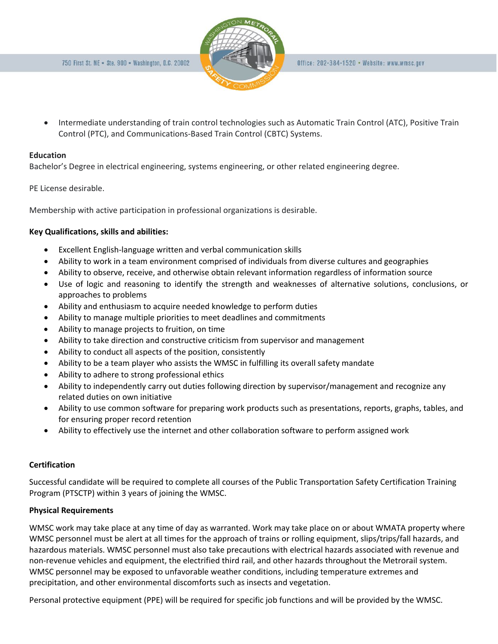

• Intermediate understanding of train control technologies such as Automatic Train Control (ATC), Positive Train Control (PTC), and Communications-Based Train Control (CBTC) Systems.

### **Education**

Bachelor's Degree in electrical engineering, systems engineering, or other related engineering degree.

PE License desirable.

Membership with active participation in professional organizations is desirable.

# **Key Qualifications, skills and abilities:**

- Excellent English-language written and verbal communication skills
- Ability to work in a team environment comprised of individuals from diverse cultures and geographies
- Ability to observe, receive, and otherwise obtain relevant information regardless of information source
- Use of logic and reasoning to identify the strength and weaknesses of alternative solutions, conclusions, or approaches to problems
- Ability and enthusiasm to acquire needed knowledge to perform duties
- Ability to manage multiple priorities to meet deadlines and commitments
- Ability to manage projects to fruition, on time
- Ability to take direction and constructive criticism from supervisor and management
- Ability to conduct all aspects of the position, consistently
- Ability to be a team player who assists the WMSC in fulfilling its overall safety mandate
- Ability to adhere to strong professional ethics
- Ability to independently carry out duties following direction by supervisor/management and recognize any related duties on own initiative
- Ability to use common software for preparing work products such as presentations, reports, graphs, tables, and for ensuring proper record retention
- Ability to effectively use the internet and other collaboration software to perform assigned work

# **Certification**

Successful candidate will be required to complete all courses of the Public Transportation Safety Certification Training Program (PTSCTP) within 3 years of joining the WMSC.

# **Physical Requirements**

WMSC work may take place at any time of day as warranted. Work may take place on or about WMATA property where WMSC personnel must be alert at all times for the approach of trains or rolling equipment, slips/trips/fall hazards, and hazardous materials. WMSC personnel must also take precautions with electrical hazards associated with revenue and non-revenue vehicles and equipment, the electrified third rail, and other hazards throughout the Metrorail system. WMSC personnel may be exposed to unfavorable weather conditions, including temperature extremes and precipitation, and other environmental discomforts such as insects and vegetation.

Personal protective equipment (PPE) will be required for specific job functions and will be provided by the WMSC.